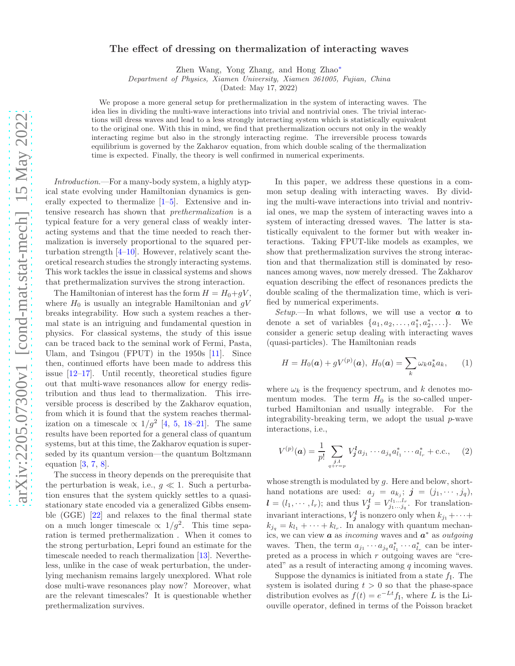## The effect of dressing on thermalization of interacting waves

Zhen Wang, Yong Zhang, and Hong Zhao<sup>∗</sup>

Department of Physics, Xiamen University, Xiamen 361005, Fujian, China

(Dated: May 17, 2022)

We propose a more general setup for prethermalization in the system of interacting waves. The idea lies in dividing the multi-wave interactions into trivial and nontrivial ones. The trivial interactions will dress waves and lead to a less strongly interacting system which is statistically equivalent to the original one. With this in mind, we find that prethermalization occurs not only in the weakly interacting regime but also in the strongly interacting regime. The irreversible process towards equilibrium is governed by the Zakharov equation, from which double scaling of the thermalization time is expected. Finally, the theory is well confirmed in numerical experiments.

Introduction.—For a many-body system, a highly atypical state evolving under Hamiltonian dynamics is generally expected to thermalize  $[1-5]$ . Extensive and intensive research has shown that prethermalization is a typical feature for a very general class of weakly interacting systems and that the time needed to reach thermalization is inversely proportional to the squared perturbation strength  $[4–10]$ . However, relatively scant theoretical research studies the strongly interacting systems. This work tackles the issue in classical systems and shows that prethermalization survives the strong interaction.

The Hamiltonian of interest has the form  $H = H_0 + qV$ , where  $H_0$  is usually an integrable Hamiltonian and  $gV$ breaks integrability. How such a system reaches a thermal state is an intriguing and fundamental question in physics. For classical systems, the study of this issue can be traced back to the seminal work of Fermi, Pasta, Ulam, and Tsingou (FPUT) in the 1950s [11]. Since then, continued efforts have been made to address this issue [12–17]. Until recently, theoretical studies figure out that multi-wave resonances allow for energy redistribution and thus lead to thermalization. This irreversible process is described by the Zakharov equation, from which it is found that the system reaches thermalization on a timescale  $\propto 1/g^2$  [4, 5, 18–21]. The same results have been reported for a general class of quantum systems, but at this time, the Zakharov equation is superseded by its quantum version—the quantum Boltzmann equation  $[3, 7, 8]$ .

The success in theory depends on the prerequisite that the perturbation is weak, i.e.,  $g \ll 1$ . Such a perturbation ensures that the system quickly settles to a quasistationary state encoded via a generalized Gibbs ensemble (GGE) [22] and relaxes to the final thermal state on a much longer timescale  $\propto 1/g^2$ . This time separation is termed prethermalization . When it comes to the strong perturbation, Lepri found an estimate for the timescale needed to reach thermalization [13]. Nevertheless, unlike in the case of weak perturbation, the underlying mechanism remains largely unexplored. What role dose multi-wave resonances play now? Moreover, what are the relevant timescales? It is questionable whether prethermalization survives.

In this paper, we address these questions in a common setup dealing with interacting waves. By dividing the multi-wave interactions into trivial and nontrivial ones, we map the system of interacting waves into a system of interacting dressed waves. The latter is statistically equivalent to the former but with weaker interactions. Taking FPUT-like models as examples, we show that prethermalization survives the strong interaction and that thermalization still is dominated by resonances among waves, now merely dressed. The Zakharov equation describing the effect of resonances predicts the double scaling of the thermalization time, which is verified by numerical experiments.

*Setup*.—In what follows, we will use a vector  $\boldsymbol{a}$  to denote a set of variables  $\{a_1, a_2, \ldots, a_1^*, a_2^*, \ldots\}$ . We consider a generic setup dealing with interacting waves (quasi-particles). The Hamiltonian reads

$$
H = H_0(\mathbf{a}) + gV^{(p)}(\mathbf{a}), H_0(\mathbf{a}) = \sum_k \omega_k a_k^* a_k, \qquad (1)
$$

where  $\omega_k$  is the frequency spectrum, and k denotes momentum modes. The term  $H_0$  is the so-called unperturbed Hamiltonian and usually integrable. For the integrability-breaking term, we adopt the usual  $p$ -wave interactions, i.e.,

$$
V^{(p)}(\boldsymbol{a}) = \frac{1}{p!} \sum_{\substack{j,l \ q+r=p}} V_j^l a_{j_1} \cdots a_{j_q} a_{l_1}^* \cdots a_{l_r}^* + \text{c.c.}, \quad (2)
$$

whose strength is modulated by  $g$ . Here and below, shorthand notations are used:  $a_j = a_{k_j}; j = (j_1, \dots, j_q),$  $\boldsymbol{l} = (l_1, \dots, l_r);$  and thus  $V^{\boldsymbol{l}}_{\boldsymbol{j}} = V^{l_1 \dots l_r}_{j_1 \dots j_q}$ . For translationinvariant interactions,  $V_j^l$  is nonzero only when  $k_{j_1} + \cdots +$  $k_{j_q} = k_{l_1} + \cdots + k_{l_r}$ . In analogy with quantum mechanics, we can view  $\boldsymbol{a}$  as incoming waves and  $\boldsymbol{a}^*$  as outgoing waves. Then, the term  $a_{j_1} \cdots a_{j_q} a_{l_1}^* \cdots a_{l_r}^*$  can be interpreted as a process in which r outgoing waves are "created" as a result of interacting among  $q$  incoming waves.

Suppose the dynamics is initiated from a state  $f_I$ . The system is isolated during  $t > 0$  so that the phase-space distribution evolves as  $f(t) = e^{-Lt} f_{\text{I}}$ , where L is the Liouville operator, defined in terms of the Poisson bracket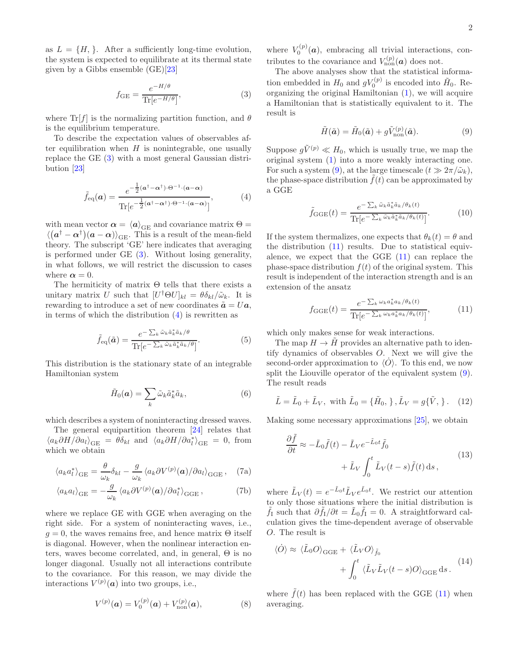as  $L = \{H, \}$ . After a sufficiently long-time evolution, the system is expected to equilibrate at its thermal state given by a Gibbs ensemble  $(GE)[23]$ 

$$
f_{\rm GE} = \frac{e^{-H/\theta}}{\text{Tr}[e^{-H/\theta}]},\tag{3}
$$

where  $\text{Tr}[f]$  is the normalizing partition function, and  $\theta$ is the equilibrium temperature.

To describe the expectation values of observables after equilibration when  $H$  is nonintegrable, one usually replace the GE (3) with a most general Gaussian distribution [23]

$$
\tilde{f}_{\text{eq}}(a) = \frac{e^{-\frac{1}{2}(a^{\dagger}-\alpha^{\dagger})\cdot\Theta^{-1}\cdot(a-\alpha)}}{\text{Tr}[e^{-\frac{1}{2}(a^{\dagger}-\alpha^{\dagger})\cdot\Theta^{-1}\cdot(a-\alpha)}]},
$$
\n(4)

with mean vector  $\alpha = \langle a \rangle_{\text{GE}}$  and covariance matrix  $\Theta =$  $\langle (a^{\dagger} - \alpha^{\dagger})(a - \alpha) \rangle_{\text{GE}}$ . This is a result of the mean-field theory. The subscript 'GE' here indicates that averaging is performed under GE (3). Without losing generality, in what follows, we will restrict the discussion to cases where  $\alpha = 0$ .

The hermiticity of matrix  $\Theta$  tells that there exists a unitary matrix U such that  $[U^{\dagger} \Theta U]_{kl} = \theta \delta_{kl} / \tilde{\omega}_k$ . It is rewarding to introduce a set of new coordinates  $\tilde{a} = Ua$ , in terms of which the distribution  $(4)$  is rewritten as

$$
\tilde{f}_{\text{eq}}(\tilde{a}) = \frac{e^{-\sum_{k} \tilde{\omega}_{k} \tilde{a}_{k}^{*} \tilde{a}_{k}/\theta}}{\text{Tr}[e^{-\sum_{k} \tilde{\omega}_{k} \tilde{a}_{k}^{*} \tilde{a}_{k}/\theta}]}.
$$
(5)

This distribution is the stationary state of an integrable Hamiltonian system

$$
\tilde{H}_0(\boldsymbol{a}) = \sum_k \tilde{\omega}_k \tilde{a}_k^* \tilde{a}_k, \tag{6}
$$

which describes a system of noninteracting dressed waves.

The general equipartition theorem [24] relates that  $\langle a_k \partial H/\partial a_l \rangle_{\text{GE}} = \theta \delta_{kl}$  and  $\langle a_k \partial H/\partial a_l^* \rangle_{\text{GE}} = 0$ , from which we obtain

$$
\langle a_k a_l^* \rangle_{\text{GE}} = \frac{\theta}{\omega_k} \delta_{kl} - \frac{g}{\omega_k} \langle a_k \partial V^{(p)}(\boldsymbol{a}) / \partial a_l \rangle_{\text{GGE}}, \quad (7a)
$$

$$
\langle a_k a_l \rangle_{\text{GE}} = -\frac{g}{\omega_k} \langle a_k \partial V^{(p)}(\mathbf{a}) / \partial a_l^* \rangle_{\text{GGE}},\tag{7b}
$$

where we replace GE with GGE when averaging on the right side. For a system of noninteracting waves, i.e.,  $g = 0$ , the waves remains free, and hence matrix  $\Theta$  itself is diagonal. However, when the nonlinear interaction enters, waves become correlated, and, in general, Θ is no longer diagonal. Usually not all interactions contribute to the covariance. For this reason, we may divide the interactions  $V^{(p)}(\boldsymbol{a})$  into two groups, i.e.,

$$
V^{(p)}(a) = V_0^{(p)}(a) + V_{\text{non}}^{(p)}(a),
$$
\n(8)

where  $V_0^{(p)}(a)$ , embracing all trivial interactions, contributes to the covariance and  $V_{\text{non}}^{(p)}(a)$  does not.

The above analyses show that the statistical information embedded in  $H_0$  and  $gV_0^{(p)}$  is encoded into  $H_0$ . Reorganizing the original Hamiltonian (1), we will acquire a Hamiltonian that is statistically equivalent to it. The result is

$$
\tilde{H}(\tilde{a}) = \tilde{H}_0(\tilde{a}) + g\tilde{V}_{\text{non}}^{(p)}(\tilde{a}).
$$
\n(9)

Suppose  $g\tilde{V}^{(p)} \ll H_0$ , which is usually true, we map the original system (1) into a more weakly interacting one. For such a system (9), at the large timescale  $(t \gg 2\pi/\tilde{\omega}_k)$ , the phase-space distribution  $f(t)$  can be approximated by a GGE

$$
\tilde{f}_{\text{GGE}}(t) = \frac{e^{-\sum_{k} \tilde{\omega}_{k} \tilde{a}_{k}^{*} \tilde{a}_{k}/\theta_{k}(t)}}{\text{Tr}[e^{-\sum_{k} \tilde{\omega}_{k} \tilde{a}_{k}^{*} \tilde{a}_{k}/\theta_{k}(t)}]}.
$$
(10)

If the system thermalizes, one expects that  $\theta_k(t) = \theta$  and the distribution (11) results. Due to statistical equivalence, we expect that the GGE (11) can replace the phase-space distribution  $f(t)$  of the original system. This result is independent of the interaction strength and is an extension of the ansatz

$$
f_{\text{GGE}}(t) = \frac{e^{-\sum_{k} \omega_{k} a_{k}^{*} a_{k}/\theta_{k}(t)}}{\text{Tr}[e^{-\sum_{k} \omega_{k} a_{k}^{*} a_{k}/\theta_{k}(t)}]},
$$
(11)

which only makes sense for weak interactions.

The map  $H \to \tilde{H}$  provides an alternative path to identify dynamics of observables O. Next we will give the second-order approximation to  $\langle O \rangle$ . To this end, we now split the Liouville operator of the equivalent system (9). The result reads

$$
\tilde{L} = \tilde{L}_0 + \tilde{L}_V
$$
, with  $\tilde{L}_0 = {\tilde{H}_0, \}, \tilde{L}_V = g{\tilde{V}, \}.$  (12)

Making some necessary approximations [25], we obtain

$$
\frac{\partial \tilde{f}}{\partial t} \approx -\tilde{L}_0 \tilde{f}(t) - \tilde{L}_V e^{-\tilde{L}_0 t} \tilde{f}_0 + \tilde{L}_V \int_0^t \tilde{L}_V(t-s) \tilde{f}(t) \,ds,
$$
\n(13)

where  $\tilde{L}_V(t) = e^{-\tilde{L}_0 t} \tilde{L}_V e^{\tilde{L}_0 t}$ . We restrict our attention to only those situations where the initial distribution is  $\tilde{f}_I$  such that  $\partial \tilde{f}_I / \partial t = \tilde{L}_0 \tilde{f}_I = 0$ . A straightforward calculation gives the time-dependent average of observable O. The result is

$$
\langle \dot{O} \rangle \approx \langle \tilde{L}_0 O \rangle_{\text{GGE}} + \langle \tilde{L}_V O \rangle_{\tilde{f}_0} + \int_0^t \langle \tilde{L}_V \tilde{L}_V (t - s) O \rangle_{\text{GGE}} ds. \tag{14}
$$

where  $\tilde{f}(t)$  has been replaced with the GGE (11) when averaging.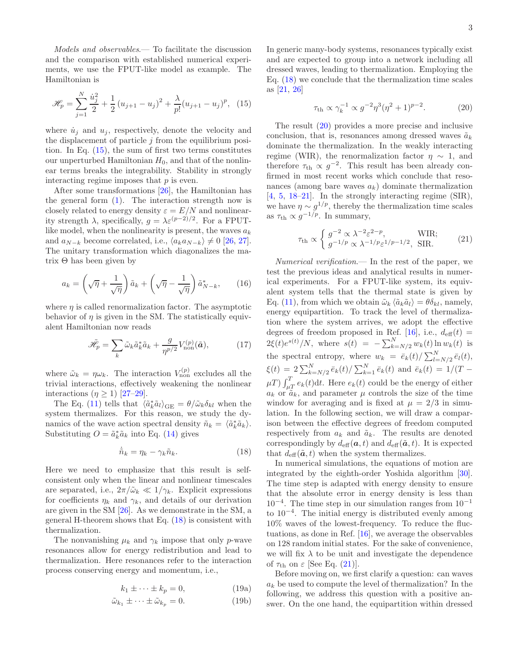Models and observables.— To facilitate the discussion and the comparison with established numerical experiments, we use the FPUT-like model as example. The Hamiltonian is

$$
\mathcal{H}_p = \sum_{j=1}^N \frac{\dot{u}_j^2}{2} + \frac{1}{2} (u_{j+1} - u_j)^2 + \frac{\lambda}{p!} (u_{j+1} - u_j)^p, \tag{15}
$$

where  $\dot{u}_j$  and  $u_j$ , respectively, denote the velocity and the displacement of particle  $j$  from the equilibrium position. In Eq. (15), the sum of first two terms constitutes our unperturbed Hamiltonian  $H_0$ , and that of the nonlinear terms breaks the integrability. Stability in strongly interacting regime imposes that  $p$  is even.

After some transformations [26], the Hamiltonian has the general form  $(1)$ . The interaction strength now is closely related to energy density  $\varepsilon = E/N$  and nonlinearity strength  $\lambda$ , specifically,  $g = \lambda \varepsilon^{(p-2)/2}$ . For a FPUTlike model, when the nonlinearity is present, the waves  $a_k$ and  $a_{N-k}$  become correlated, i.e.,  $\langle a_k a_{N-k} \rangle \neq 0$  [26, 27]. The unitary transformation which diagonalizes the matrix  $Θ$  has been given by

$$
a_k = \left(\sqrt{\eta} + \frac{1}{\sqrt{\eta}}\right)\tilde{a}_k + \left(\sqrt{\eta} - \frac{1}{\sqrt{\eta}}\right)\tilde{a}_{N-k}^*,\qquad(16)
$$

where  $\eta$  is called renormalization factor. The asymptotic behavior of  $\eta$  is given in the SM. The statistically equivalent Hamiltonian now reads

$$
\tilde{\mathcal{H}}_p = \sum_k \tilde{\omega}_k \tilde{a}_k^* \tilde{a}_k + \frac{g}{\eta^{p/2}} V_{\text{non}}^{(p)}(\tilde{a}),\tag{17}
$$

where  $\tilde{\omega}_k = \eta \omega_k$ . The interaction  $V_{\text{non}}^{(p)}$  excludes all the trivial interactions, effectively weakening the nonlinear interactions  $(\eta \geq 1)$  [27–29].

The Eq. (11) tells that  $\langle \tilde{a}_k^* \tilde{a}_l \rangle_{\text{GE}} = \theta / \tilde{\omega}_k \delta_{kl}$  when the system thermalizes. For this reason, we study the dynamics of the wave action spectral density  $\tilde{n}_k = \langle \tilde{a}_k^* \tilde{a}_k \rangle$ . Substituting  $O = \tilde{a}_k^* \tilde{a}_k$  into Eq. (14) gives

$$
\dot{\tilde{n}}_k = \eta_k - \gamma_k \tilde{n}_k. \tag{18}
$$

Here we need to emphasize that this result is selfconsistent only when the linear and nonlinear timescales are separated, i.e.,  $2\pi/\tilde{\omega}_k \ll 1/\gamma_k$ . Explicit expressions for coefficients  $\eta_k$  and  $\gamma_k$ , and details of our derivation are given in the SM [26]. As we demonstrate in the SM, a general H-theorem shows that Eq. (18) is consistent with thermalization.

The nonvanishing  $\mu_k$  and  $\gamma_k$  impose that only p-wave resonances allow for energy redistribution and lead to thermalization. Here resonances refer to the interaction process conserving energy and momentum, i.e.,

$$
k_1 \pm \cdots \pm k_p = 0,\t(19a)
$$

$$
\tilde{\omega}_{k_1} \pm \cdots \pm \tilde{\omega}_{k_p} = 0. \tag{19b}
$$

In generic many-body systems, resonances typically exist and are expected to group into a network including all dressed waves, leading to thermalization. Employing the Eq. (18) we conclude that the thermalization time scales as [21, 26]

$$
\tau_{\text{th}} \propto \gamma_k^{-1} \propto g^{-2} \eta^3 (\eta^2 + 1)^{p-2}.
$$
 (20)

The result (20) provides a more precise and inclusive conclusion, that is, resonances among dressed waves  $\tilde{a}_k$ dominate the thermalization. In the weakly interacting regime (WIR), the renormalization factor  $\eta \sim 1$ , and therefore  $\tau_{\text{th}} \propto g^{-2}$ . This result has been already confirmed in most recent works which conclude that resonances (among bare waves  $a_k$ ) dominate thermalization [4, 5, 18–21]. In the strongly interacting regime (SIR), we have  $\eta \sim g^{1/p}$ , thereby the thermalization time scales as  $\tau_{\text{th}} \propto g^{-1/p}$ . In summary,

$$
\tau_{\rm th} \propto \begin{cases} g^{-2} \propto \lambda^{-2} \varepsilon^{2-p}, & \text{WIR;}\\ g^{-1/p} \propto \lambda^{-1/p} \varepsilon^{1/p-1/2}, & \text{SIR.} \end{cases} \tag{21}
$$

Numerical verification.— In the rest of the paper, we test the previous ideas and analytical results in numerical experiments. For a FPUT-like system, its equivalent system tells that the thermal state is given by Eq. (11), from which we obtain  $\tilde{\omega}_k \langle \tilde{a}_k \tilde{a}_l \rangle = \theta \delta_{kl}$ , namely, energy equipartition. To track the level of thermalization where the system arrives, we adopt the effective degrees of freedom proposed in Ref. [16], i.e.,  $d_{\text{eff}}(t)$  =  $2\xi(t)e^{s(t)}/N$ , where  $s(t) = -\sum_{k=N/2}^{N} w_k(t) \ln w_k(t)$  is the spectral entropy, where  $w_k = \bar{e}_k(t) / \sum_{l=N/2}^{N} \bar{e}_l(t)$ ,  $\xi(t) = 2 \sum_{k=N/2}^{N} \bar{e}_k(t) / \sum_{k=1}^{N} \bar{e}_k(t)$  and  $\bar{e}_k(t) = 1/(T \mu T$ )  $\int_{\mu T}^{T} e_k(t) dt$ . Here  $e_k(t)$  could be the energy of either  $a_k$  or  $\tilde{a}_k$ , and parameter  $\mu$  controls the size of the time window for averaging and is fixed at  $\mu = 2/3$  in simulation. In the following section, we will draw a comparison between the effective degrees of freedom computed respectively from  $a_k$  and  $\tilde{a}_k$ . The results are denoted correspondingly by  $d_{\text{eff}}(\boldsymbol{a}, t)$  and  $d_{\text{eff}}(\tilde{\boldsymbol{a}}, t)$ . It is expected that  $d_{\text{eff}}(\tilde{a}, t)$  when the system thermalizes.

In numerical simulations, the equations of motion are integrated by the eighth-order Yoshida algorithm [30]. The time step is adapted with energy density to ensure that the absolute error in energy density is less than 10−<sup>4</sup> . The time step in our simulation ranges from 10−<sup>1</sup> to 10−<sup>4</sup> . The initial energy is distributed evenly among 10% waves of the lowest-frequency. To reduce the fluctuations, as done in Ref. [16], we average the observables on 128 random initial states. For the sake of convenience, we will fix  $\lambda$  to be unit and investigate the dependence of  $\tau_{\text{th}}$  on  $\varepsilon$  [See Eq. (21)].

Before moving on, we first clarify a question: can waves  $a_k$  be used to compute the level of thermalization? In the following, we address this question with a positive answer. On the one hand, the equipartition within dressed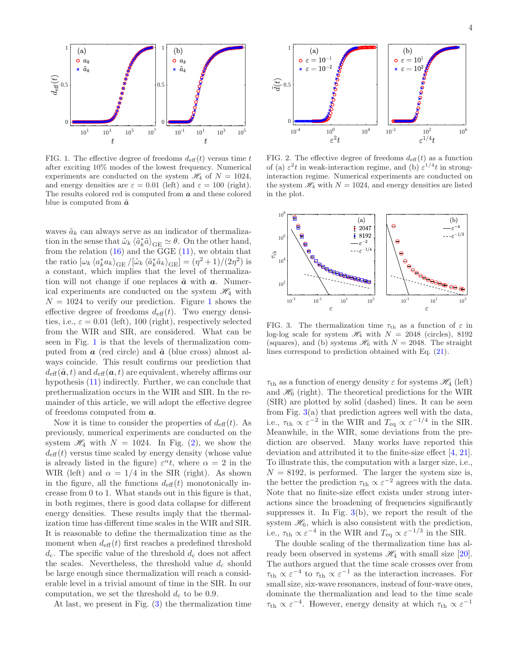

FIG. 1. The effective degree of freedoms  $d_{\text{eff}}(t)$  versus time t after exciting 10% modes of the lowest frequency. Numerical experiments are conducted on the system  $\mathcal{H}_4$  of  $N = 1024$ , and energy densities are  $\varepsilon = 0.01$  (left) and  $\varepsilon = 100$  (right). The results colored red is computed from  $a$  and these colored blue is computed from  $\tilde{a}$ 

waves  $\tilde{a}_k$  can always serve as an indicator of thermalization in the sense that  $\tilde{\omega}_k \langle \tilde{a}_k^* \tilde{a} \rangle_{\text{GE}} \simeq \theta$ . On the other hand, from the relation  $(16)$  and the GGE  $(11)$ , we obtain that the ratio  $[\omega_k \langle a_k^* a_k \rangle_{\text{GE}} / [\tilde{\omega}_k \langle \tilde{a}_k^* \tilde{a}_k \rangle_{\text{GE}}] = (\eta^2 + 1) / (2\eta^2)$  is a constant, which implies that the level of thermalization will not change if one replaces  $\tilde{a}$  with  $a$ . Numerical experiments are conducted on the system  $\mathcal{H}_4$  with  $N = 1024$  to verify our prediction. Figure 1 shows the effective degree of freedoms  $d_{\text{eff}}(t)$ . Two energy densities, i.e.,  $\varepsilon = 0.01$  (left), 100 (right), respectively selected from the WIR and SIR, are considered. What can be seen in Fig. 1 is that the levels of thermalization computed from  $\boldsymbol{a}$  (red circle) and  $\boldsymbol{\tilde{a}}$  (blue cross) almost always coincide. This result confirms our prediction that  $d_{\text{eff}}(\tilde{a}, t)$  and  $d_{\text{eff}}(a, t)$  are equivalent, whereby affirms our hypothesis (11) indirectly. Further, we can conclude that prethermalization occurs in the WIR and SIR. In the remainder of this article, we will adopt the effective degree of freedoms computed from a.

Now it is time to consider the properties of  $d_{\text{eff}}(t)$ . As previously, numerical experiments are conducted on the system  $\mathcal{H}_4$  with  $N = 1024$ . In Fig. (2), we show the  $d_{\text{eff}}(t)$  versus time scaled by energy density (whose value is already listed in the figure)  $\varepsilon^{\alpha} t$ , where  $\alpha = 2$  in the WIR (left) and  $\alpha = 1/4$  in the SIR (right). As shown in the figure, all the functions  $d_{\text{eff}}(t)$  monotonically increase from 0 to 1. What stands out in this figure is that, in both regimes, there is good data collapse for different energy densities. These results imply that the thermalization time has different time scales in the WIR and SIR. It is reasonable to define the thermalization time as the moment when  $d_{\text{eff}}(t)$  first reaches a predefined threshold  $d_c$ . The specific value of the threshold  $d_c$  does not affect the scales. Nevertheless, the threshold value  $d_c$  should be large enough since thermalization will reach a considerable level in a trivial amount of time in the SIR. In our computation, we set the threshold  $d_c$  to be 0.9.

At last, we present in Fig. (3) the thermalization time



FIG. 2. The effective degree of freedoms  $d_{\text{eff}}(t)$  as a function of (a)  $\varepsilon^2 t$  in weak-interaction regime, and (b)  $\varepsilon^{1/4} t$  in stronginteraction regime. Numerical experiments are conducted on the system  $\mathcal{H}_4$  with  $N = 1024$ , and energy densities are listed in the plot.



FIG. 3. The thermalization time  $\tau_{\text{th}}$  as a function of  $\varepsilon$  in log-log scale for system  $\mathcal{H}_4$  with  $N = 2048$  (circles), 8192 (squares), and (b) systems  $\mathcal{H}_6$  with  $N = 2048$ . The straight lines correspond to prediction obtained with Eq. (21).

 $\tau_{\text{th}}$  as a function of energy density  $\varepsilon$  for systems  $\mathscr{H}_4$  (left) and  $\mathcal{H}_6$  (right). The theoretical predictions for the WIR (SIR) are plotted by solid (dashed) lines. It can be seen from Fig. 3(a) that prediction agrees well with the data, i.e.,  $\tau_{\text{th}} \propto \varepsilon^{-2}$  in the WIR and  $T_{\text{eq}} \propto \varepsilon^{-1/4}$  in the SIR. Meanwhile, in the WIR, some deviations from the prediction are observed. Many works have reported this deviation and attributed it to the finite-size effect [4, 21]. To illustrate this, the computation with a larger size, i.e.,  $N = 8192$ , is performed. The larger the system size is, the better the prediction  $\tau_{\text{th}} \propto \varepsilon^{-2}$  agrees with the data. Note that no finite-size effect exists under strong interactions since the broadening of frequencies significantly suppresses it. In Fig.  $3(b)$ , we report the result of the system  $\mathcal{H}_6$ , which is also consistent with the prediction, i.e.,  $\tau_{\text{th}} \propto \varepsilon^{-4}$  in the WIR and  $T_{\text{eq}} \propto \varepsilon^{-1/3}$  in the SIR.

The double scaling of the thermalization time has already been observed in systems  $\mathcal{H}_4$  with small size [20]. The authors argued that the time scale crosses over from  $\tau_{\text{th}} \propto \varepsilon^{-4}$  to  $\tau_{\text{th}} \propto \varepsilon^{-1}$  as the interaction increases. For small size, six-wave resonances, instead of four-wave ones, dominate the thermalization and lead to the time scale  $\tau_{\text{th}} \propto \varepsilon^{-4}$ . However, energy density at which  $\tau_{\text{th}} \propto \varepsilon^{-1}$